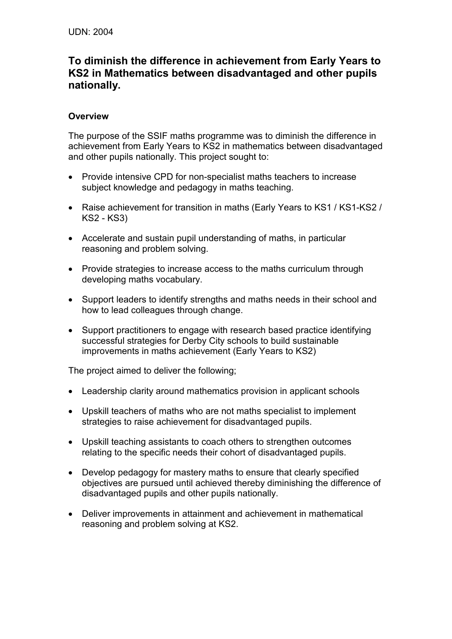# **To diminish the difference in achievement from Early Years to KS2 in Mathematics between disadvantaged and other pupils nationally.**

# **Overview**

The purpose of the SSIF maths programme was to diminish the difference in achievement from Early Years to KS2 in mathematics between disadvantaged and other pupils nationally. This project sought to:

- Provide intensive CPD for non-specialist maths teachers to increase subject knowledge and pedagogy in maths teaching.
- Raise achievement for transition in maths (Early Years to KS1 / KS1-KS2 / KS2 - KS3)
- Accelerate and sustain pupil understanding of maths, in particular reasoning and problem solving.
- Provide strategies to increase access to the maths curriculum through developing maths vocabulary.
- Support leaders to identify strengths and maths needs in their school and how to lead colleagues through change.
- Support practitioners to engage with research based practice identifying successful strategies for Derby City schools to build sustainable improvements in maths achievement (Early Years to KS2)

The project aimed to deliver the following;

- Leadership clarity around mathematics provision in applicant schools
- Upskill teachers of maths who are not maths specialist to implement strategies to raise achievement for disadvantaged pupils.
- Upskill teaching assistants to coach others to strengthen outcomes relating to the specific needs their cohort of disadvantaged pupils.
- Develop pedagogy for mastery maths to ensure that clearly specified objectives are pursued until achieved thereby diminishing the difference of disadvantaged pupils and other pupils nationally.
- Deliver improvements in attainment and achievement in mathematical reasoning and problem solving at KS2.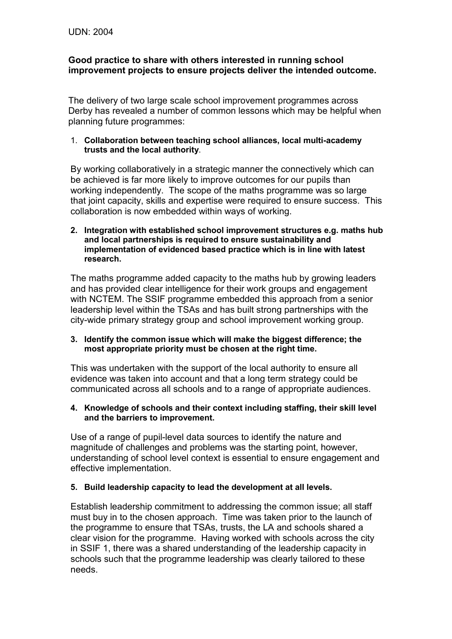# **Good practice to share with others interested in running school improvement projects to ensure projects deliver the intended outcome.**

The delivery of two large scale school improvement programmes across Derby has revealed a number of common lessons which may be helpful when planning future programmes:

#### 1. **Collaboration between teaching school alliances, local multi-academy trusts and the local authority**.

By working collaboratively in a strategic manner the connectively which can be achieved is far more likely to improve outcomes for our pupils than working independently. The scope of the maths programme was so large that joint capacity, skills and expertise were required to ensure success. This collaboration is now embedded within ways of working.

**2. Integration with established school improvement structures e.g. maths hub and local partnerships is required to ensure sustainability and implementation of evidenced based practice which is in line with latest research.** 

The maths programme added capacity to the maths hub by growing leaders and has provided clear intelligence for their work groups and engagement with NCTEM. The SSIF programme embedded this approach from a senior leadership level within the TSAs and has built strong partnerships with the city-wide primary strategy group and school improvement working group.

#### **3. Identify the common issue which will make the biggest difference; the most appropriate priority must be chosen at the right time.**

This was undertaken with the support of the local authority to ensure all evidence was taken into account and that a long term strategy could be communicated across all schools and to a range of appropriate audiences.

#### **4. Knowledge of schools and their context including staffing, their skill level and the barriers to improvement.**

Use of a range of pupil-level data sources to identify the nature and magnitude of challenges and problems was the starting point, however, understanding of school level context is essential to ensure engagement and effective implementation.

# **5. Build leadership capacity to lead the development at all levels.**

Establish leadership commitment to addressing the common issue; all staff must buy in to the chosen approach. Time was taken prior to the launch of the programme to ensure that TSAs, trusts, the LA and schools shared a clear vision for the programme. Having worked with schools across the city in SSIF 1, there was a shared understanding of the leadership capacity in schools such that the programme leadership was clearly tailored to these needs.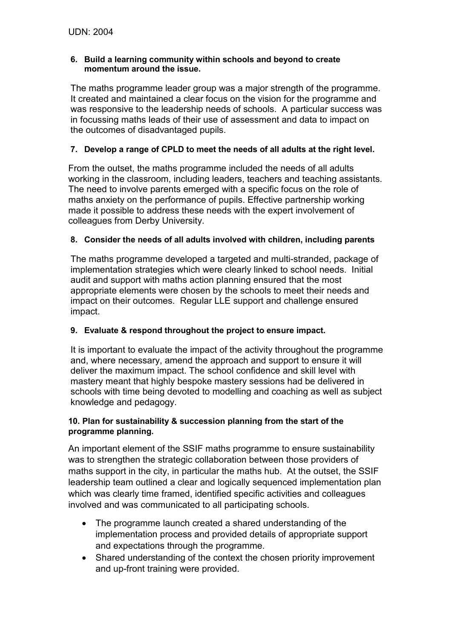#### **6. Build a learning community within schools and beyond to create momentum around the issue.**

The maths programme leader group was a major strength of the programme. It created and maintained a clear focus on the vision for the programme and was responsive to the leadership needs of schools. A particular success was in focussing maths leads of their use of assessment and data to impact on the outcomes of disadvantaged pupils.

# **7. Develop a range of CPLD to meet the needs of all adults at the right level.**

From the outset, the maths programme included the needs of all adults working in the classroom, including leaders, teachers and teaching assistants. The need to involve parents emerged with a specific focus on the role of maths anxiety on the performance of pupils. Effective partnership working made it possible to address these needs with the expert involvement of colleagues from Derby University.

# **8. Consider the needs of all adults involved with children, including parents**

The maths programme developed a targeted and multi-stranded, package of implementation strategies which were clearly linked to school needs. Initial audit and support with maths action planning ensured that the most appropriate elements were chosen by the schools to meet their needs and impact on their outcomes. Regular LLE support and challenge ensured impact.

# **9. Evaluate & respond throughout the project to ensure impact.**

It is important to evaluate the impact of the activity throughout the programme and, where necessary, amend the approach and support to ensure it will deliver the maximum impact. The school confidence and skill level with mastery meant that highly bespoke mastery sessions had be delivered in schools with time being devoted to modelling and coaching as well as subject knowledge and pedagogy.

# **10. Plan for sustainability & succession planning from the start of the programme planning.**

An important element of the SSIF maths programme to ensure sustainability was to strengthen the strategic collaboration between those providers of maths support in the city, in particular the maths hub. At the outset, the SSIF leadership team outlined a clear and logically sequenced implementation plan which was clearly time framed, identified specific activities and colleagues involved and was communicated to all participating schools.

- The programme launch created a shared understanding of the implementation process and provided details of appropriate support and expectations through the programme.
- Shared understanding of the context the chosen priority improvement and up-front training were provided.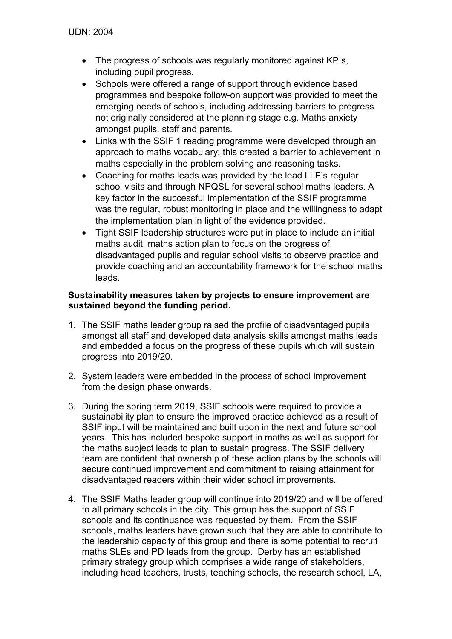- The progress of schools was regularly monitored against KPIs, including pupil progress.
- Schools were offered a range of support through evidence based programmes and bespoke follow-on support was provided to meet the emerging needs of schools, including addressing barriers to progress not originally considered at the planning stage e.g. Maths anxiety amongst pupils, staff and parents.
- Links with the SSIF 1 reading programme were developed through an approach to maths vocabulary; this created a barrier to achievement in maths especially in the problem solving and reasoning tasks.
- Coaching for maths leads was provided by the lead LLE's regular school visits and through NPQSL for several school maths leaders. A key factor in the successful implementation of the SSIF programme was the regular, robust monitoring in place and the willingness to adapt the implementation plan in light of the evidence provided.
- Tight SSIF leadership structures were put in place to include an initial maths audit, maths action plan to focus on the progress of disadvantaged pupils and regular school visits to observe practice and provide coaching and an accountability framework for the school maths leads.

# **Sustainability measures taken by projects to ensure improvement are sustained beyond the funding period.**

- 1. The SSIF maths leader group raised the profile of disadvantaged pupils amongst all staff and developed data analysis skills amongst maths leads and embedded a focus on the progress of these pupils which will sustain progress into 2019/20.
- 2. System leaders were embedded in the process of school improvement from the design phase onwards.
- 3. During the spring term 2019, SSIF schools were required to provide a sustainability plan to ensure the improved practice achieved as a result of SSIF input will be maintained and built upon in the next and future school years. This has included bespoke support in maths as well as support for the maths subject leads to plan to sustain progress. The SSIF delivery team are confident that ownership of these action plans by the schools will secure continued improvement and commitment to raising attainment for disadvantaged readers within their wider school improvements.
- 4. The SSIF Maths leader group will continue into 2019/20 and will be offered to all primary schools in the city. This group has the support of SSIF schools and its continuance was requested by them. From the SSIF schools, maths leaders have grown such that they are able to contribute to the leadership capacity of this group and there is some potential to recruit maths SLEs and PD leads from the group. Derby has an established primary strategy group which comprises a wide range of stakeholders, including head teachers, trusts, teaching schools, the research school, LA,